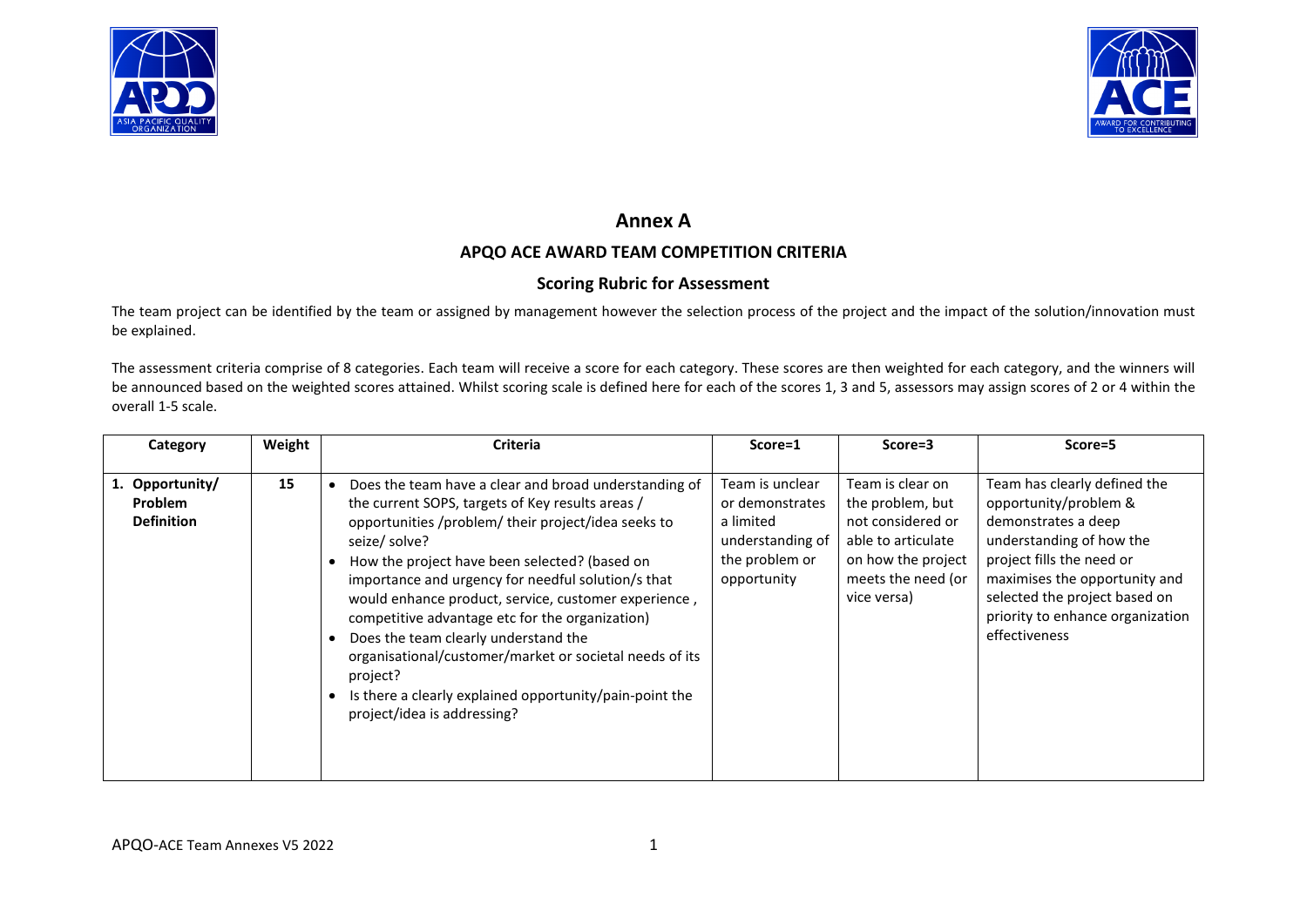



# **Annex A**

## **APQO ACE AWARD TEAM COMPETITION CRITERIA**

## **Scoring Rubric for Assessment**

The team project can be identified by the team or assigned by management however the selection process of the project and the impact of the solution/innovation must be explained.

The assessment criteria comprise of 8 categories. Each team will receive a score for each category. These scores are then weighted for each category, and the winners will be announced based on the weighted scores attained. Whilst scoring scale is defined here for each of the scores 1, 3 and 5, assessors may assign scores of 2 or 4 within the overall 1-5 scale.

| Category                                               | Weight | <b>Criteria</b>                                                                                                                                                                                                                                                                                                                                                                                                                                                                                                                                                                                                           | Score=1                                                                                              | Score=3                                                                                                                                    | Score=5                                                                                                                                                                                                                                                      |
|--------------------------------------------------------|--------|---------------------------------------------------------------------------------------------------------------------------------------------------------------------------------------------------------------------------------------------------------------------------------------------------------------------------------------------------------------------------------------------------------------------------------------------------------------------------------------------------------------------------------------------------------------------------------------------------------------------------|------------------------------------------------------------------------------------------------------|--------------------------------------------------------------------------------------------------------------------------------------------|--------------------------------------------------------------------------------------------------------------------------------------------------------------------------------------------------------------------------------------------------------------|
| 1. Opportunity/<br><b>Problem</b><br><b>Definition</b> | 15     | Does the team have a clear and broad understanding of<br>the current SOPS, targets of Key results areas /<br>opportunities /problem/ their project/idea seeks to<br>seize/ solve?<br>How the project have been selected? (based on<br>importance and urgency for needful solution/s that<br>would enhance product, service, customer experience,<br>competitive advantage etc for the organization)<br>Does the team clearly understand the<br>$\bullet$<br>organisational/customer/market or societal needs of its<br>project?<br>Is there a clearly explained opportunity/pain-point the<br>project/idea is addressing? | Team is unclear<br>or demonstrates<br>a limited<br>understanding of<br>the problem or<br>opportunity | Team is clear on<br>the problem, but<br>not considered or<br>able to articulate<br>on how the project<br>meets the need (or<br>vice versa) | Team has clearly defined the<br>opportunity/problem &<br>demonstrates a deep<br>understanding of how the<br>project fills the need or<br>maximises the opportunity and<br>selected the project based on<br>priority to enhance organization<br>effectiveness |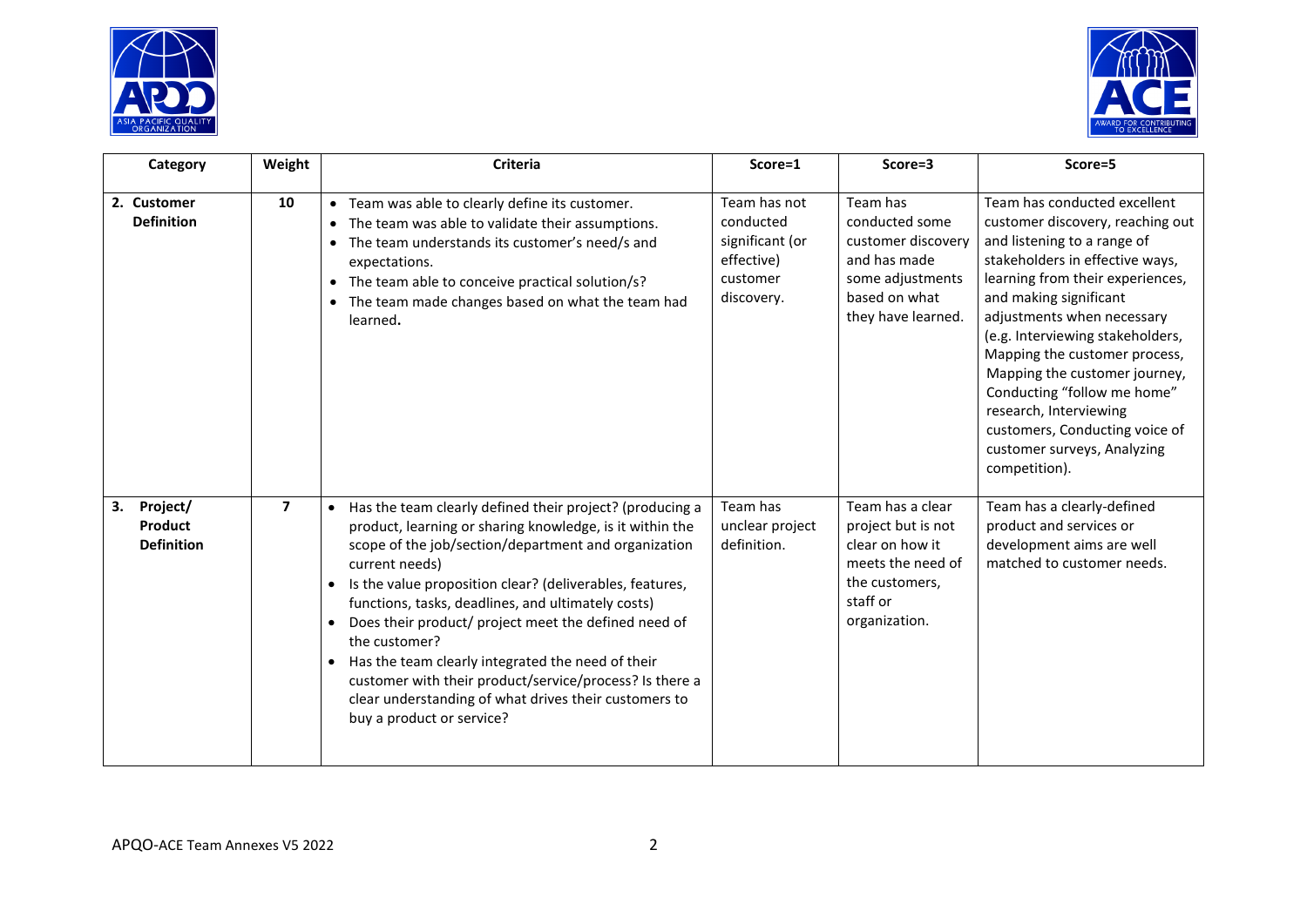



| Category                                       | Weight                  | Criteria                                                                                                                                                                                                                                                                                                                                                                                                                                                                                                                                                                                                                               | Score=1                                                                              | Score=3                                                                                                                       | Score=5                                                                                                                                                                                                                                                                                                                                                                                                                                                                         |
|------------------------------------------------|-------------------------|----------------------------------------------------------------------------------------------------------------------------------------------------------------------------------------------------------------------------------------------------------------------------------------------------------------------------------------------------------------------------------------------------------------------------------------------------------------------------------------------------------------------------------------------------------------------------------------------------------------------------------------|--------------------------------------------------------------------------------------|-------------------------------------------------------------------------------------------------------------------------------|---------------------------------------------------------------------------------------------------------------------------------------------------------------------------------------------------------------------------------------------------------------------------------------------------------------------------------------------------------------------------------------------------------------------------------------------------------------------------------|
| 2. Customer<br><b>Definition</b>               | 10                      | • Team was able to clearly define its customer.<br>The team was able to validate their assumptions.<br>• The team understands its customer's need/s and<br>expectations.<br>The team able to conceive practical solution/s?<br>• The team made changes based on what the team had<br>learned.                                                                                                                                                                                                                                                                                                                                          | Team has not<br>conducted<br>significant (or<br>effective)<br>customer<br>discovery. | Team has<br>conducted some<br>customer discovery<br>and has made<br>some adjustments<br>based on what<br>they have learned.   | Team has conducted excellent<br>customer discovery, reaching out<br>and listening to a range of<br>stakeholders in effective ways,<br>learning from their experiences,<br>and making significant<br>adjustments when necessary<br>(e.g. Interviewing stakeholders,<br>Mapping the customer process,<br>Mapping the customer journey,<br>Conducting "follow me home"<br>research, Interviewing<br>customers, Conducting voice of<br>customer surveys, Analyzing<br>competition). |
| Project/<br>3.<br>Product<br><b>Definition</b> | $\overline{\mathbf{z}}$ | Has the team clearly defined their project? (producing a<br>$\bullet$<br>product, learning or sharing knowledge, is it within the<br>scope of the job/section/department and organization<br>current needs)<br>Is the value proposition clear? (deliverables, features,<br>functions, tasks, deadlines, and ultimately costs)<br>Does their product/ project meet the defined need of<br>$\bullet$<br>the customer?<br>Has the team clearly integrated the need of their<br>$\bullet$<br>customer with their product/service/process? Is there a<br>clear understanding of what drives their customers to<br>buy a product or service? | Team has<br>unclear project<br>definition.                                           | Team has a clear<br>project but is not<br>clear on how it<br>meets the need of<br>the customers,<br>staff or<br>organization. | Team has a clearly-defined<br>product and services or<br>development aims are well<br>matched to customer needs.                                                                                                                                                                                                                                                                                                                                                                |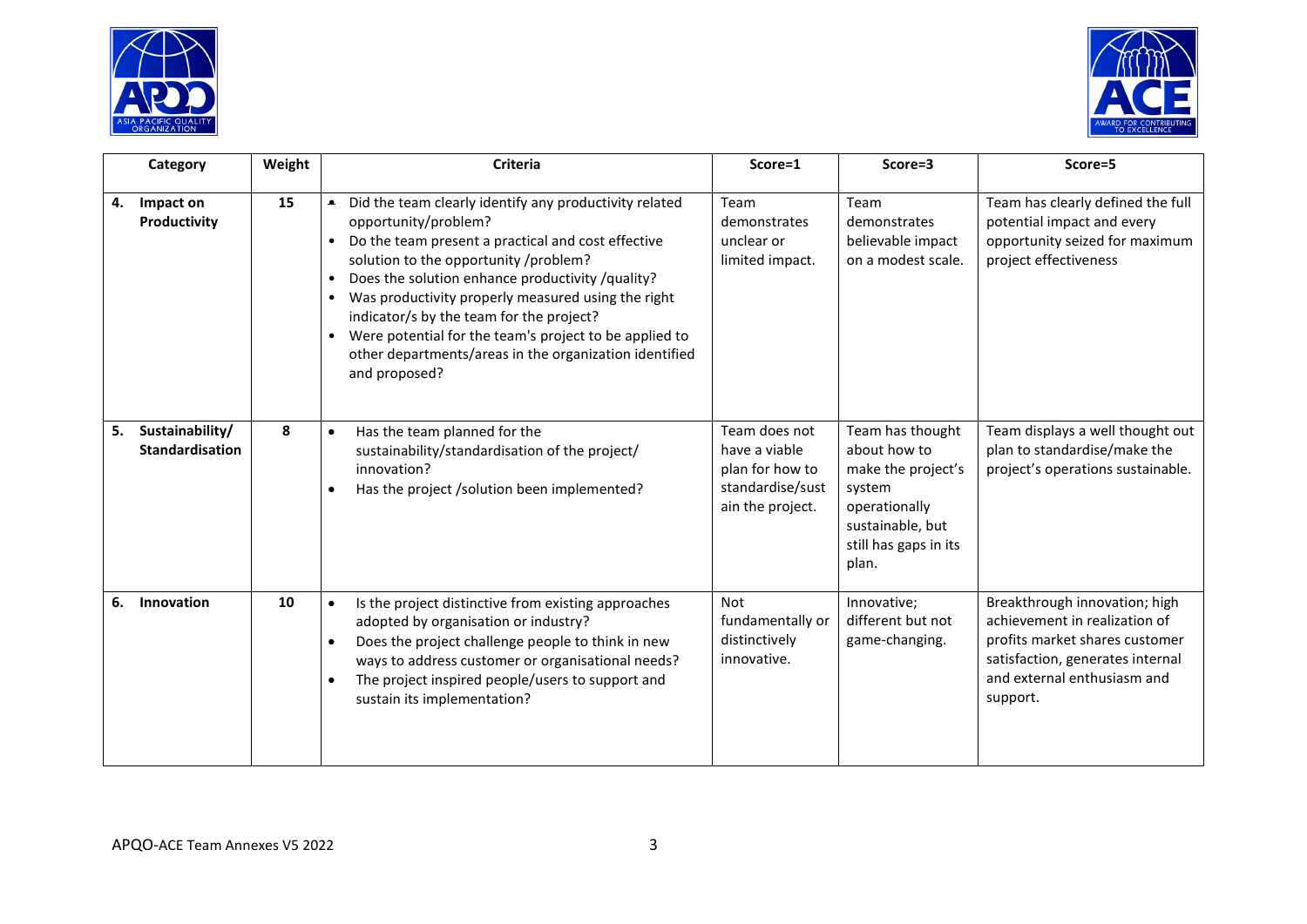



| Category                                        | Weight | <b>Criteria</b>                                                                                                                                                                                                                                                                                                                                                                                                                                                                                    | Score=1                                                                                   | Score=3                                                                                                                                 | Score=5                                                                                                                                                                         |
|-------------------------------------------------|--------|----------------------------------------------------------------------------------------------------------------------------------------------------------------------------------------------------------------------------------------------------------------------------------------------------------------------------------------------------------------------------------------------------------------------------------------------------------------------------------------------------|-------------------------------------------------------------------------------------------|-----------------------------------------------------------------------------------------------------------------------------------------|---------------------------------------------------------------------------------------------------------------------------------------------------------------------------------|
| Impact on<br>4.<br>Productivity                 | 15     | Did the team clearly identify any productivity related<br>$\bullet$<br>opportunity/problem?<br>Do the team present a practical and cost effective<br>solution to the opportunity /problem?<br>Does the solution enhance productivity /quality?<br>$\bullet$<br>Was productivity properly measured using the right<br>indicator/s by the team for the project?<br>Were potential for the team's project to be applied to<br>other departments/areas in the organization identified<br>and proposed? | Team<br>demonstrates<br>unclear or<br>limited impact.                                     | Team<br>demonstrates<br>believable impact<br>on a modest scale.                                                                         | Team has clearly defined the full<br>potential impact and every<br>opportunity seized for maximum<br>project effectiveness                                                      |
| Sustainability/<br>5.<br><b>Standardisation</b> | 8      | Has the team planned for the<br>$\bullet$<br>sustainability/standardisation of the project/<br>innovation?<br>Has the project /solution been implemented?<br>$\bullet$                                                                                                                                                                                                                                                                                                                             | Team does not<br>have a viable<br>plan for how to<br>standardise/sust<br>ain the project. | Team has thought<br>about how to<br>make the project's<br>system<br>operationally<br>sustainable, but<br>still has gaps in its<br>plan. | Team displays a well thought out<br>plan to standardise/make the<br>project's operations sustainable.                                                                           |
| Innovation<br>6.                                | 10     | Is the project distinctive from existing approaches<br>$\bullet$<br>adopted by organisation or industry?<br>Does the project challenge people to think in new<br>$\bullet$<br>ways to address customer or organisational needs?<br>The project inspired people/users to support and<br>sustain its implementation?                                                                                                                                                                                 | Not<br>fundamentally or<br>distinctively<br>innovative.                                   | Innovative;<br>different but not<br>game-changing.                                                                                      | Breakthrough innovation; high<br>achievement in realization of<br>profits market shares customer<br>satisfaction, generates internal<br>and external enthusiasm and<br>support. |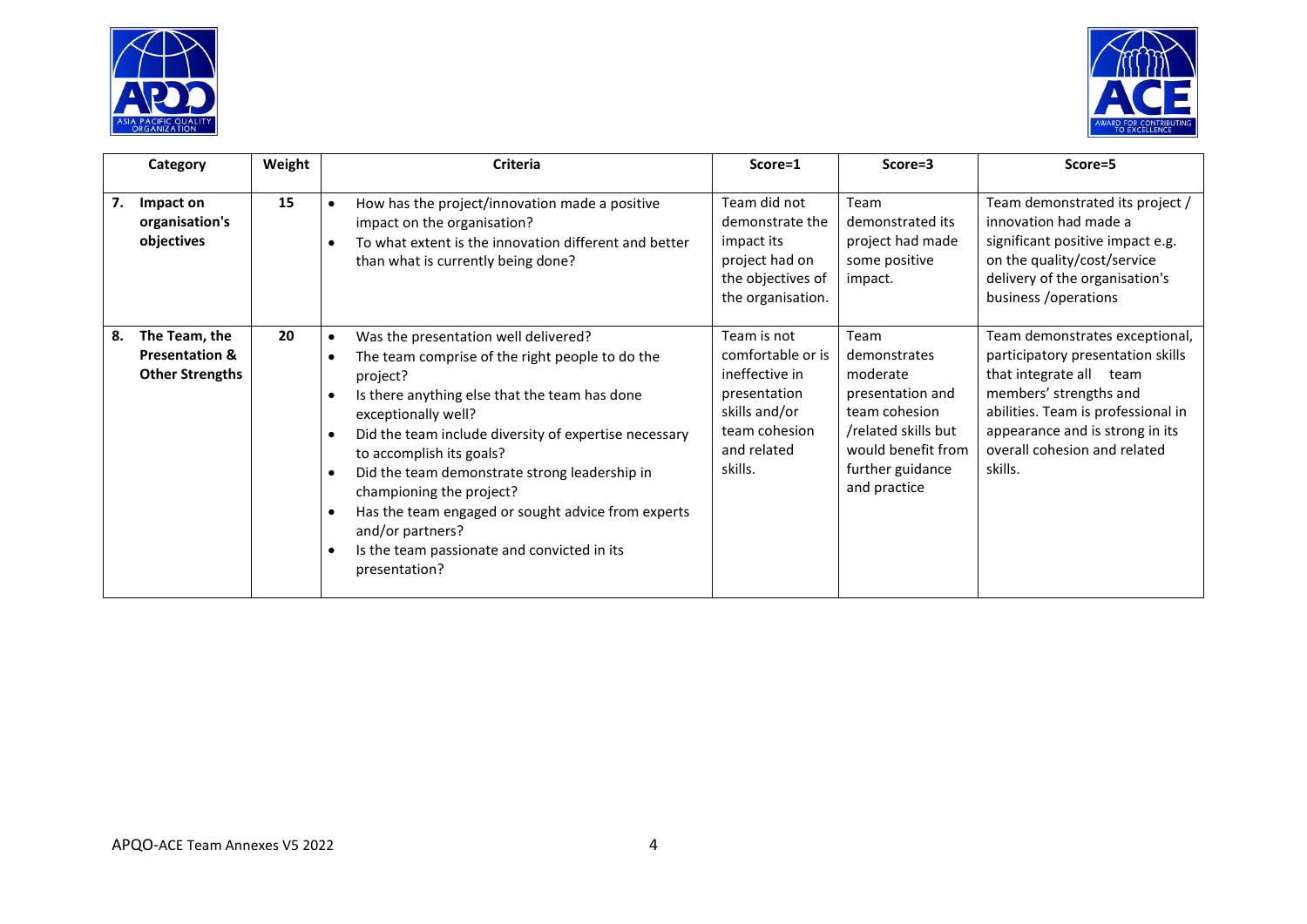



| Category                                                                   | Weight | <b>Criteria</b>                                                                                                                                                                                                                                                                                                                                                                                                                                                                                                                | Score=1                                                                                                                        | Score=3                                                                                                                                                | Score=5                                                                                                                                                                                                                                      |
|----------------------------------------------------------------------------|--------|--------------------------------------------------------------------------------------------------------------------------------------------------------------------------------------------------------------------------------------------------------------------------------------------------------------------------------------------------------------------------------------------------------------------------------------------------------------------------------------------------------------------------------|--------------------------------------------------------------------------------------------------------------------------------|--------------------------------------------------------------------------------------------------------------------------------------------------------|----------------------------------------------------------------------------------------------------------------------------------------------------------------------------------------------------------------------------------------------|
| 7.<br>Impact on<br>organisation's<br>objectives                            | 15     | How has the project/innovation made a positive<br>impact on the organisation?<br>To what extent is the innovation different and better<br>than what is currently being done?                                                                                                                                                                                                                                                                                                                                                   | Team did not<br>demonstrate the<br>impact its<br>project had on<br>the objectives of<br>the organisation.                      | Team<br>demonstrated its<br>project had made<br>some positive<br>impact.                                                                               | Team demonstrated its project /<br>innovation had made a<br>significant positive impact e.g.<br>on the quality/cost/service<br>delivery of the organisation's<br>business / operations                                                       |
| The Team, the<br>8.<br><b>Presentation &amp;</b><br><b>Other Strengths</b> | 20     | Was the presentation well delivered?<br>The team comprise of the right people to do the<br>$\bullet$<br>project?<br>Is there anything else that the team has done<br>exceptionally well?<br>Did the team include diversity of expertise necessary<br>$\bullet$<br>to accomplish its goals?<br>Did the team demonstrate strong leadership in<br>$\bullet$<br>championing the project?<br>Has the team engaged or sought advice from experts<br>and/or partners?<br>Is the team passionate and convicted in its<br>presentation? | Team is not<br>comfortable or is<br>ineffective in<br>presentation<br>skills and/or<br>team cohesion<br>and related<br>skills. | Team<br>demonstrates<br>moderate<br>presentation and<br>team cohesion<br>/related skills but<br>would benefit from<br>further guidance<br>and practice | Team demonstrates exceptional,<br>participatory presentation skills<br>that integrate all team<br>members' strengths and<br>abilities. Team is professional in<br>appearance and is strong in its<br>overall cohesion and related<br>skills. |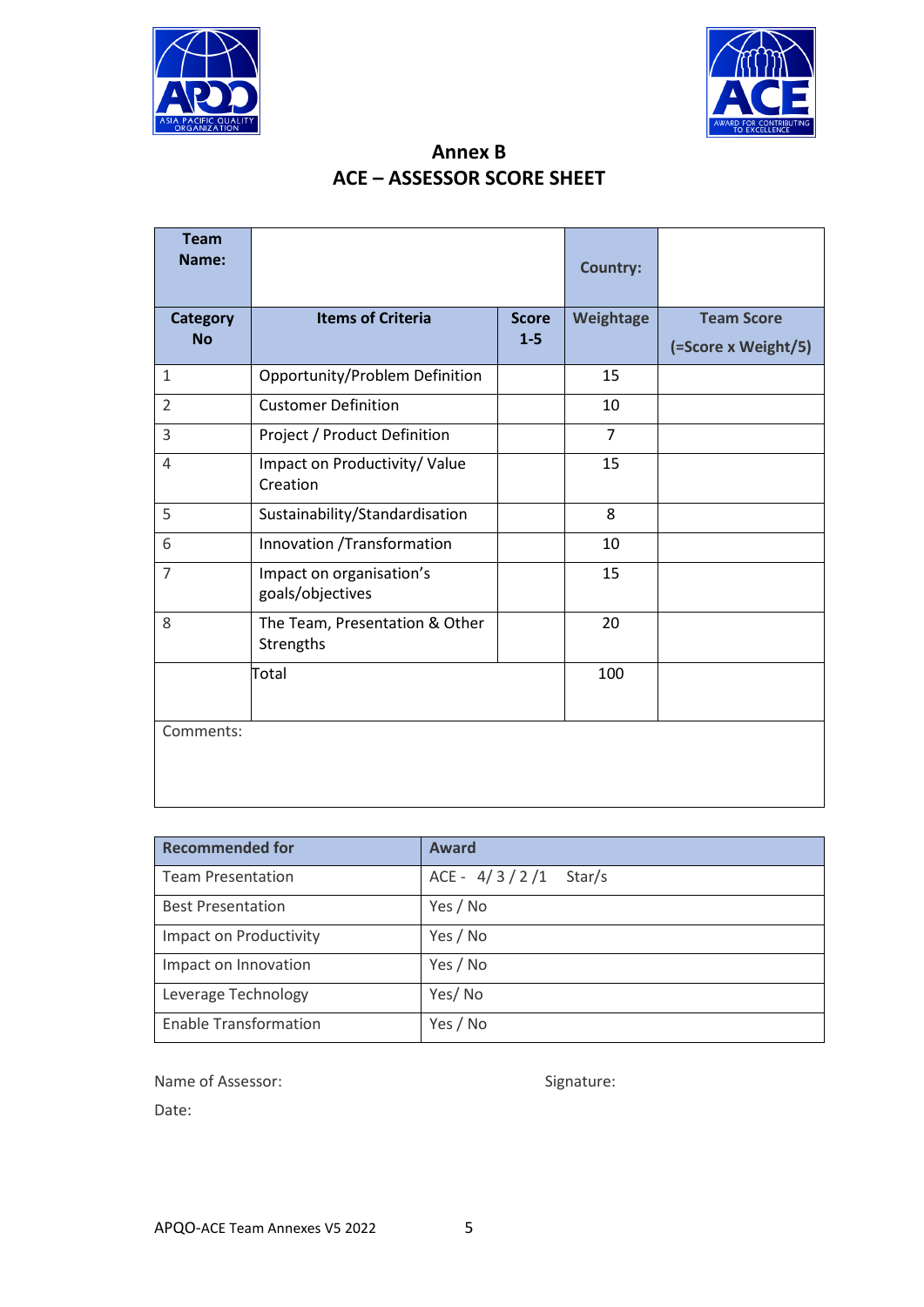



| Annex B                           |
|-----------------------------------|
| <b>ACE - ASSESSOR SCORE SHEET</b> |

| <b>Team</b><br>Name:         |                                              |                         | <b>Country:</b> |                     |
|------------------------------|----------------------------------------------|-------------------------|-----------------|---------------------|
| <b>Category</b><br><b>No</b> | <b>Items of Criteria</b>                     | <b>Score</b><br>$1 - 5$ | Weightage       | <b>Team Score</b>   |
|                              |                                              |                         |                 | (=Score x Weight/5) |
| $\mathbf{1}$                 | Opportunity/Problem Definition               |                         | 15              |                     |
| $\overline{2}$               | <b>Customer Definition</b>                   |                         | 10              |                     |
| 3                            | Project / Product Definition                 |                         | $\overline{7}$  |                     |
| 4                            | Impact on Productivity/ Value<br>Creation    |                         | 15              |                     |
| 5                            | Sustainability/Standardisation               |                         | 8               |                     |
| 6                            | Innovation /Transformation                   |                         | 10              |                     |
| $\overline{7}$               | Impact on organisation's<br>goals/objectives |                         | 15              |                     |
| 8                            | The Team, Presentation & Other<br>Strengths  |                         | 20              |                     |
|                              | Total                                        |                         | 100             |                     |
| Comments:                    |                                              |                         |                 |                     |

| <b>Recommended for</b>       | <b>Award</b>           |
|------------------------------|------------------------|
| <b>Team Presentation</b>     | ACE - $4/3/2/1$ Star/s |
| <b>Best Presentation</b>     | Yes / No               |
| Impact on Productivity       | Yes / No               |
| Impact on Innovation         | Yes / No               |
| Leverage Technology          | Yes/No                 |
| <b>Enable Transformation</b> | Yes / No               |

Name of Assessor: Signature: Signature:

Date: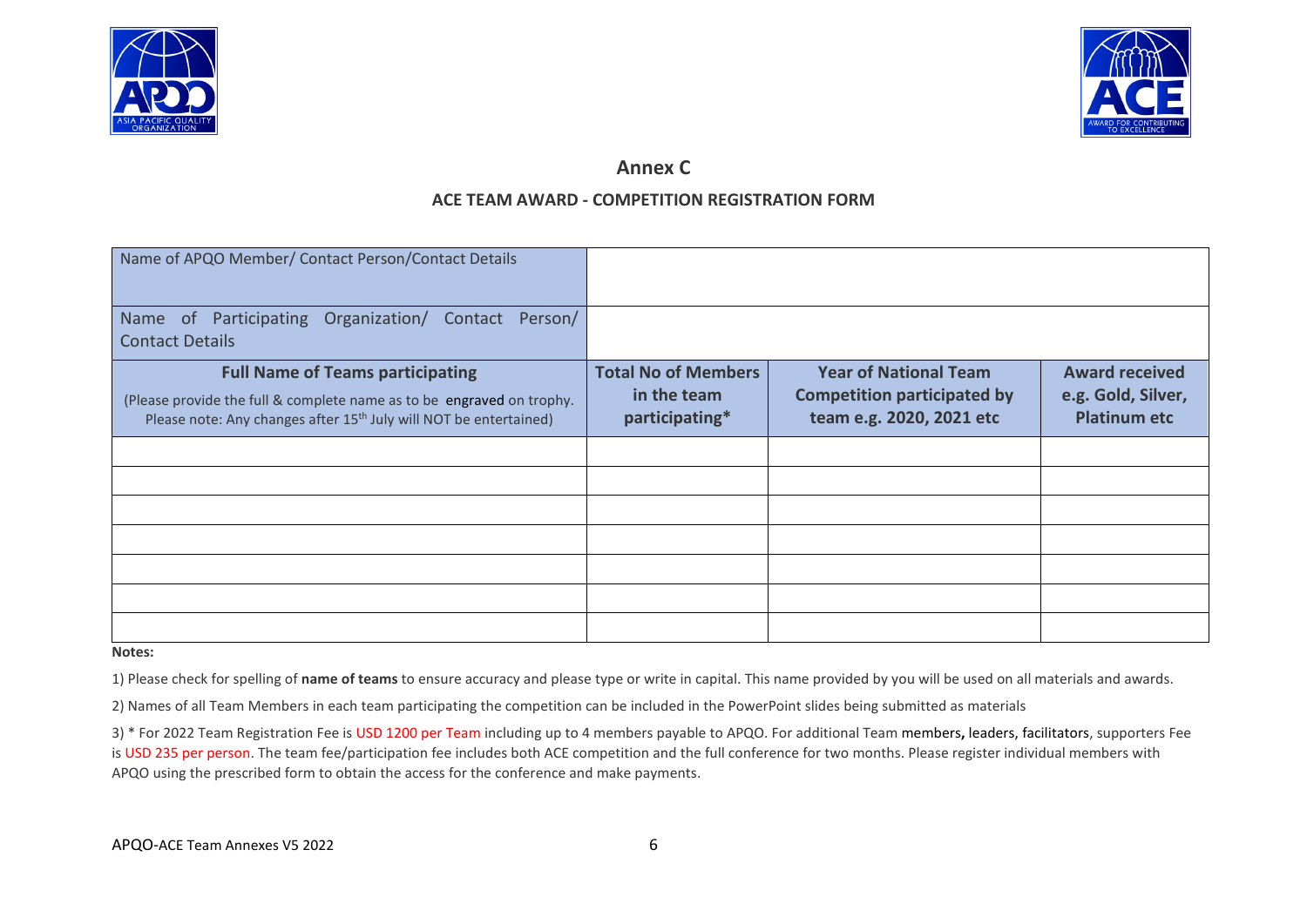



# **Annex C**

# **ACE TEAM AWARD - COMPETITION REGISTRATION FORM**

| Name of APQO Member/ Contact Person/Contact Details                                                                                                                                               |                                                             |                                                                                                |                                                                    |
|---------------------------------------------------------------------------------------------------------------------------------------------------------------------------------------------------|-------------------------------------------------------------|------------------------------------------------------------------------------------------------|--------------------------------------------------------------------|
| Organization/ Contact<br>Name of Participating<br>Person/<br><b>Contact Details</b>                                                                                                               |                                                             |                                                                                                |                                                                    |
| <b>Full Name of Teams participating</b><br>(Please provide the full & complete name as to be engraved on trophy.<br>Please note: Any changes after 15 <sup>th</sup> July will NOT be entertained) | <b>Total No of Members</b><br>in the team<br>participating* | <b>Year of National Team</b><br><b>Competition participated by</b><br>team e.g. 2020, 2021 etc | <b>Award received</b><br>e.g. Gold, Silver,<br><b>Platinum etc</b> |
|                                                                                                                                                                                                   |                                                             |                                                                                                |                                                                    |
|                                                                                                                                                                                                   |                                                             |                                                                                                |                                                                    |
|                                                                                                                                                                                                   |                                                             |                                                                                                |                                                                    |
|                                                                                                                                                                                                   |                                                             |                                                                                                |                                                                    |
|                                                                                                                                                                                                   |                                                             |                                                                                                |                                                                    |
|                                                                                                                                                                                                   |                                                             |                                                                                                |                                                                    |
|                                                                                                                                                                                                   |                                                             |                                                                                                |                                                                    |

#### **Notes:**

1) Please check for spelling of **name of teams** to ensure accuracy and please type or write in capital. This name provided by you will be used on all materials and awards.

2) Names of all Team Members in each team participating the competition can be included in the PowerPoint slides being submitted as materials

3) \* For 2022 Team Registration Fee is USD 1200 per Team including up to 4 members payable to APQO. For additional Team members**,** leaders, facilitators, supporters Fee is USD 235 per person. The team fee/participation fee includes both ACE competition and the full conference for two months. Please register individual members with APQO using the prescribed form to obtain the access for the conference and make payments.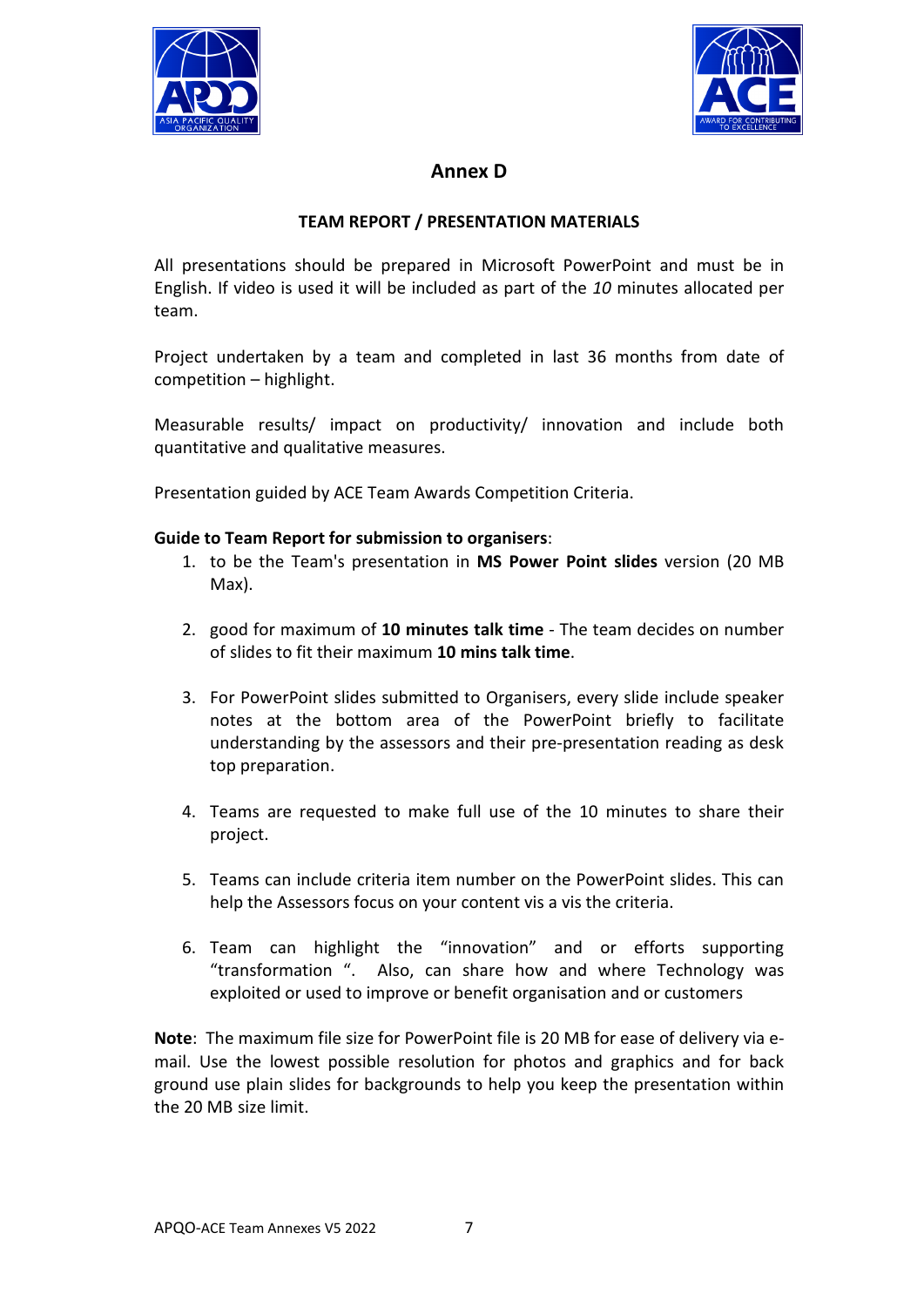



# **Annex D**

## **TEAM REPORT / PRESENTATION MATERIALS**

All presentations should be prepared in Microsoft PowerPoint and must be in English. If video is used it will be included as part of the *10* minutes allocated per team.

Project undertaken by a team and completed in last 36 months from date of competition – highlight.

Measurable results/ impact on productivity/ innovation and include both quantitative and qualitative measures.

Presentation guided by ACE Team Awards Competition Criteria.

## **Guide to Team Report for submission to organisers**:

- 1. to be the Team's presentation in **MS Power Point slides** version (20 MB Max).
- 2. good for maximum of **10 minutes talk time** The team decides on number of slides to fit their maximum **10 mins talk time**.
- 3. For PowerPoint slides submitted to Organisers, every slide include speaker notes at the bottom area of the PowerPoint briefly to facilitate understanding by the assessors and their pre-presentation reading as desk top preparation.
- 4. Teams are requested to make full use of the 10 minutes to share their project.
- 5. Teams can include criteria item number on the PowerPoint slides. This can help the Assessors focus on your content vis a vis the criteria.
- 6. Team can highlight the "innovation" and or efforts supporting "transformation ". Also, can share how and where Technology was exploited or used to improve or benefit organisation and or customers

**Note**: The maximum file size for PowerPoint file is 20 MB for ease of delivery via email. Use the lowest possible resolution for photos and graphics and for back ground use plain slides for backgrounds to help you keep the presentation within the 20 MB size limit.